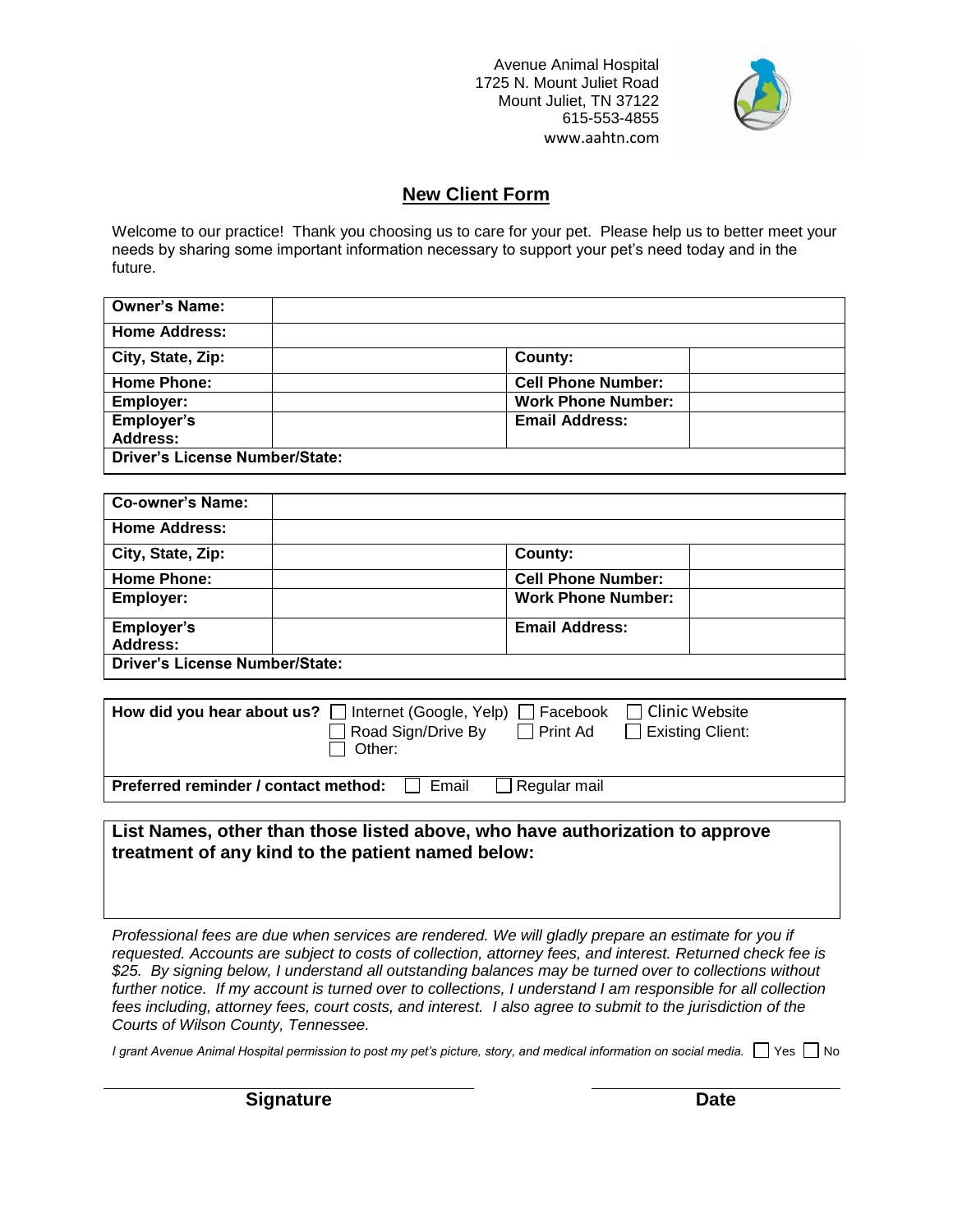Avenue Animal Hospital 1725 N. Mount Juliet Road Mount Juliet, TN 37122 615-553-4855 www.aahtn.com



## **New Client Form**

Welcome to our practice! Thank you choosing us to care for your pet. Please help us to better meet your needs by sharing some important information necessary to support your pet's need today and in the future.

| <b>Owner's Name:</b>                  |                           |  |
|---------------------------------------|---------------------------|--|
| <b>Home Address:</b>                  |                           |  |
| City, State, Zip:                     | County:                   |  |
| <b>Home Phone:</b>                    | <b>Cell Phone Number:</b> |  |
| Employer:                             | <b>Work Phone Number:</b> |  |
| Employer's                            | <b>Email Address:</b>     |  |
| <b>Address:</b>                       |                           |  |
| <b>Driver's License Number/State:</b> |                           |  |

| <b>Co-owner's Name:</b>               |                           |  |
|---------------------------------------|---------------------------|--|
| <b>Home Address:</b>                  |                           |  |
| City, State, Zip:                     | County:                   |  |
| <b>Home Phone:</b>                    | <b>Cell Phone Number:</b> |  |
| <b>Employer:</b>                      | <b>Work Phone Number:</b> |  |
| <b>Employer's</b>                     | <b>Email Address:</b>     |  |
| <b>Address:</b>                       |                           |  |
| <b>Driver's License Number/State:</b> |                           |  |

| How did you hear about us? $\Box$ Internet (Google, Yelp) $\Box$ Facebook $\Box$ Clinic Website<br>$\Box$ Road Sign/Drive By<br>l I Other: | $\Box$ Print Ad $\Box$ Existing Client: |  |
|--------------------------------------------------------------------------------------------------------------------------------------------|-----------------------------------------|--|
| Preferred reminder / contact method:<br>Email                                                                                              | $\Box$ Regular mail                     |  |

**List Names, other than those listed above, who have authorization to approve treatment of any kind to the patient named below:** 

*Professional fees are due when services are rendered. We will gladly prepare an estimate for you if requested. Accounts are subject to costs of collection, attorney fees, and interest. Returned check fee is \$25. By signing below, I understand all outstanding balances may be turned over to collections without further notice. If my account is turned over to collections, I understand I am responsible for all collection fees including, attorney fees, court costs, and interest. I also agree to submit to the jurisdiction of the Courts of Wilson County, Tennessee.*

*I grant Avenue Animal Hospital permission to post my pet's picture, story, and medical information on social media.*  $\Box$  Yes  $\Box$  No

**Signature Date**